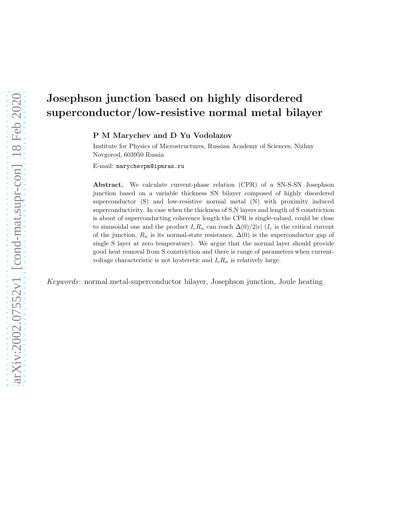# Josephson junction based on highly disordered superconductor/low-resistive normal metal bilayer

P M Marychev and D Yu Vodolazov

Institute for Physics of Microstructures, Russian Academy of Sciences, Nizhny Novgorod, 603950 Russia

E-mail: marychevpm@ipmras.ru

Abstract. We calculate current-phase relation (CPR) of a SN-S-SN Josephson junction based on a variable thickness SN bilayer composed of highly disordered superconductor (S) and low-resistive normal metal (N) with proximity induced superconductivity. In case when the thickness of S,N layers and length of S constriction is about of superconducting coherence length the CPR is single-valued, could be close to sinusoidal one and the product  $I_cR_n$  can reach  $\Delta(0)/2|e|$  ( $I_c$  is the critical current of the junction,  $R_n$  is its normal-state resistance,  $\Delta(0)$  is the superconductor gap of single S layer at zero temperature). We argue that the normal layer should provide good heat removal from S constriction and there is range of parameters when currentvoltage characteristic is not hysteretic and  $I_c R_n$  is relatively large.

Keywords: normal metal-superconductor bilayer, Josephson junction, Joule heating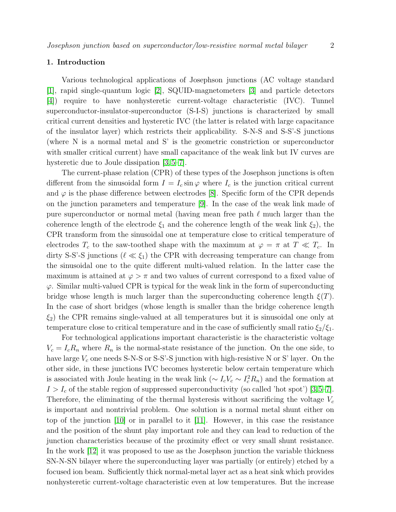# 1. Introduction

Various technological applications of Josephson junctions (AC voltage standard [\[1\]](#page-10-0), rapid single-quantum logic [\[2\]](#page-10-1), SQUID-magnetometers [\[3\]](#page-10-2) and particle detectors [\[4\]](#page-10-3)) require to have nonhysteretic current-voltage characteristic (IVC). Tunnel superconductor-insulator-superconductor (S-I-S) junctions is characterized by small critical current densities and hysteretic IVC (the latter is related with large capacitance of the insulator layer) which restricts their applicability. S-N-S and S-S'-S junctions (where N is a normal metal and S' is the geometric constriction or superconductor with smaller critical current) have small capacitance of the weak link but IV curves are hysteretic due to Joule dissipation [\[3,](#page-10-2) [5–](#page-10-4)[7\]](#page-10-5).

The current-phase relation (CPR) of these types of the Josephson junctions is often different from the sinusoidal form  $I = I_c \sin \varphi$  where  $I_c$  is the junction critical current and  $\varphi$  is the phase difference between electrodes [\[8\]](#page-10-6). Specific form of the CPR depends on the junction parameters and temperature [\[9\]](#page-10-7). In the case of the weak link made of pure superconductor or normal metal (having mean free path  $\ell$  much larger than the coherence length of the electrode  $\xi_1$  and the coherence length of the weak link  $\xi_2$ ), the CPR transform from the sinusoidal one at temperature close to critical temperature of electrodes  $T_c$  to the saw-toothed shape with the maximum at  $\varphi = \pi$  at  $T \ll T_c$ . In dirty S-S'-S junctions ( $\ell \ll \xi_1$ ) the CPR with decreasing temperature can change from the sinusoidal one to the quite different multi-valued relation. In the latter case the maximum is attained at  $\varphi > \pi$  and two values of current correspond to a fixed value of  $\varphi$ . Similar multi-valued CPR is typical for the weak link in the form of superconducting bridge whose length is much larger than the superconducting coherence length  $\xi(T)$ . In the case of short bridges (whose length is smaller than the bridge coherence length  $\xi_2$ ) the CPR remains single-valued at all temperatures but it is sinusoidal one only at temperature close to critical temperature and in the case of sufficiently small ratio  $\xi_2/\xi_1$ .

For technological applications important characteristic is the characteristic voltage  $V_c = I_c R_n$  where  $R_n$  is the normal-state resistance of the junction. On the one side, to have large  $V_c$  one needs S-N-S or S-S'-S junction with high-resistive N or S' layer. On the other side, in these junctions IVC becomes hysteretic below certain temperature which is associated with Joule heating in the weak link ( $\sim I_c V_c \sim I_c^2 R_n$ ) and the formation at  $I > I_c$  of the stable region of suppressed superconductivity (so called 'hot spot') [\[3,](#page-10-2)[5](#page-10-4)[–7\]](#page-10-5). Therefore, the eliminating of the thermal hysteresis without sacrificing the voltage  $V_c$ is important and nontrivial problem. One solution is a normal metal shunt either on top of the junction [\[10\]](#page-10-8) or in parallel to it [\[11\]](#page-10-9). However, in this case the resistance and the position of the shunt play important role and they can lead to reduction of the junction characteristics because of the proximity effect or very small shunt resistance. In the work [\[12\]](#page-10-10) it was proposed to use as the Josephson junction the variable thickness SN-N-SN bilayer where the superconducting layer was partially (or entirely) etched by a focused ion beam. Sufficiently thick normal-metal layer act as a heat sink which provides nonhysteretic current-voltage characteristic even at low temperatures. But the increase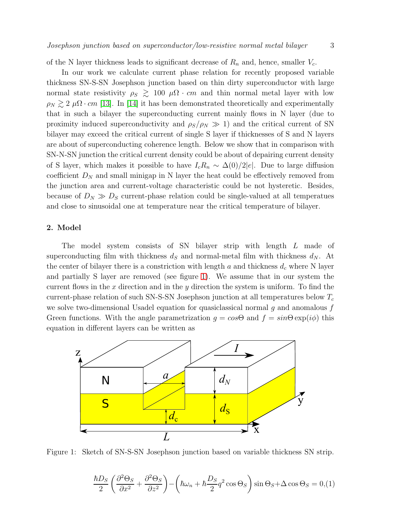of the N layer thickness leads to significant decrease of  $R_n$  and, hence, smaller  $V_c$ .

In our work we calculate current phase relation for recently proposed variable thickness SN-S-SN Josephson junction based on thin dirty superconductor with large normal state resistivity  $\rho_S \gtrsim 100 \mu \Omega \cdot cm$  and thin normal metal layer with low  $\rho_N \gtrsim 2 \mu \Omega \cdot cm$  [\[13\]](#page-10-11). In [\[14\]](#page-10-12) it has been demonstrated theoretically and experimentally that in such a bilayer the superconducting current mainly flows in N layer (due to proximity induced superconductivity and  $\rho_S/\rho_N \gg 1$ ) and the critical current of SN bilayer may exceed the critical current of single S layer if thicknesses of S and N layers are about of superconducting coherence length. Below we show that in comparison with SN-N-SN junction the critical current density could be about of depairing current density of S layer, which makes it possible to have  $I_c R_n \sim \Delta(0)/2|e|$ . Due to large diffusion coefficient  $D<sub>N</sub>$  and small minigap in N layer the heat could be effectively removed from the junction area and current-voltage characteristic could be not hysteretic. Besides, because of  $D_N \gg D_S$  current-phase relation could be single-valued at all temperatues and close to sinusoidal one at temperature near the critical temperature of bilayer.

# 2. Model

The model system consists of SN bilayer strip with length L made of superconducting film with thickness  $d<sub>S</sub>$  and normal-metal film with thickness  $d<sub>N</sub>$ . At the center of bilayer there is a constriction with length a and thickness  $d_c$  where N layer and partially S layer are removed (see figure [1\)](#page-2-0). We assume that in our system the current flows in the x direction and in the y direction the system is uniform. To find the current-phase relation of such SN-S-SN Josephson junction at all temperatures below  $T_c$ we solve two-dimensional Usadel equation for quasiclassical normal  $g$  and anomalous  $f$ Green functions. With the angle parametrization  $g = cos\Theta$  and  $f = sin\Theta \exp(i\phi)$  this equation in different layers can be written as

<span id="page-2-0"></span>

Figure 1: Sketch of SN-S-SN Josephson junction based on variable thickness SN strip.

<span id="page-2-1"></span>
$$
\frac{\hbar D_S}{2} \left( \frac{\partial^2 \Theta_S}{\partial x^2} + \frac{\partial^2 \Theta_S}{\partial z^2} \right) - \left( \hbar \omega_n + \hbar \frac{D_S}{2} q^2 \cos \Theta_S \right) \sin \Theta_S + \Delta \cos \Theta_S = 0, \text{(1)}
$$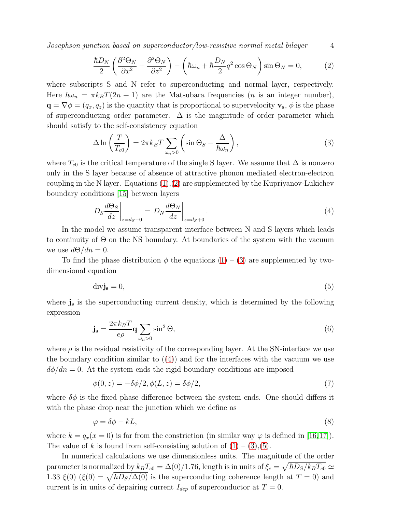Josephson junction based on superconductor/low-resistive normal metal bilayer 4

<span id="page-3-0"></span>
$$
\frac{\hbar D_N}{2} \left( \frac{\partial^2 \Theta_N}{\partial x^2} + \frac{\partial^2 \Theta_N}{\partial z^2} \right) - \left( \hbar \omega_n + \hbar \frac{D_N}{2} q^2 \cos \Theta_N \right) \sin \Theta_N = 0, \tag{2}
$$

where subscripts S and N refer to superconducting and normal layer, respectively. Here  $\hbar\omega_n = \pi k_BT(2n + 1)$  are the Matsubara frequencies (*n* is an integer number),  $\mathbf{q} = \nabla \phi = (q_x, q_z)$  is the quantity that is proportional to supervelocity  $\mathbf{v}_s$ ,  $\phi$  is the phase of superconducting order parameter.  $\Delta$  is the magnitude of order parameter which should satisfy to the self-consistency equation

<span id="page-3-1"></span>
$$
\Delta \ln \left( \frac{T}{T_{c0}} \right) = 2\pi k_B T \sum_{\omega_n > 0} \left( \sin \Theta_S - \frac{\Delta}{\hbar \omega_n} \right),\tag{3}
$$

where  $T_{c0}$  is the critical temperature of the single S layer. We assume that  $\Delta$  is nonzero only in the S layer because of absence of attractive phonon mediated electron-electron coupling in the N layer. Equations  $(1),(2)$  $(1),(2)$  are supplemented by the Kupriyanov-Lukichev boundary conditions [\[15\]](#page-10-13) between layers

<span id="page-3-2"></span>
$$
D_S \frac{d\Theta_S}{dz}\bigg|_{z=d_S-0} = D_N \frac{d\Theta_N}{dz}\bigg|_{z=d_S+0}.
$$
\n(4)

In the model we assume transparent interface between N and S layers which leads to continuity of  $\Theta$  on the NS boundary. At boundaries of the system with the vacuum we use  $d\Theta/dn = 0$ .

To find the phase distribution  $\phi$  the equations  $(1) - (3)$  $(1) - (3)$  are supplemented by twodimensional equation

<span id="page-3-3"></span>
$$
\text{div}\mathbf{j}_{\mathbf{s}} = 0,\tag{5}
$$

where  $j_s$  is the superconducting current density, which is determined by the following expression

$$
\mathbf{j}_s = \frac{2\pi k_B T}{e\rho} \mathbf{q} \sum_{\omega_n > 0} \sin^2 \Theta,\tag{6}
$$

where  $\rho$  is the residual resistivity of the corresponding layer. At the SN-interface we use the boundary condition similar to  $(4)$  and for the interfaces with the vacuum we use  $d\phi/dn = 0$ . At the system ends the rigid boundary conditions are imposed

$$
\phi(0, z) = -\delta\phi/2, \phi(L, z) = \delta\phi/2,
$$
\n<sup>(7)</sup>

where  $\delta\phi$  is the fixed phase difference between the system ends. One should differs it with the phase drop near the junction which we define as

$$
\varphi = \delta \phi - kL,\tag{8}
$$

where  $k = q_x(x = 0)$  is far from the constriction (in similar way  $\varphi$  is defined in [\[16,](#page-10-14)[17\]](#page-10-15)). The value of k is found from self-consisting solution of  $(1) - (3)$  $(1) - (3)$ ,  $(5)$ .

In numerical calculations we use dimensionless units. The magnitude of the order parameter is normalized by  $k_B T_{c0} = \Delta(0)/1.76$ , length is in units of  $\xi_c = \sqrt{\hbar D_S/k_B T_{c0}} \simeq$ 1.33  $\xi(0)$  ( $\xi(0) = \sqrt{\hbar D_S/\Delta(0)}$  is the superconducting coherence length at  $T = 0$ ) and current is in units of depairing current  $I_{dep}$  of superconductor at  $T = 0$ .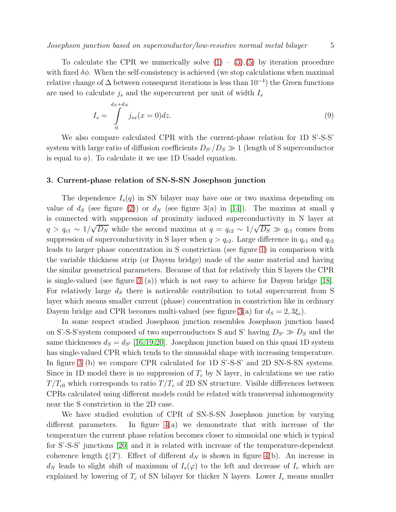To calculate the CPR we numerically solve  $(1) - (3),(5)$  $(1) - (3),(5)$  $(1) - (3),(5)$  $(1) - (3),(5)$  by iteration procedure with fixed  $\delta\phi$ . When the self-consistency is achieved (we stop calculations when maximal relative change of  $\Delta$  between consequent iterations is less than  $10^{-4}$ ) the Green functions are used to calculate  $j_s$  and the supercurrent per unit of width  $I_s$ 

$$
I_s = \int\limits_0^{d_S + d_N} j_{sx}(x=0)dz.
$$
\n(9)

We also compare calculated CPR with the current-phase relation for 1D S'-S-S' system with large ratio of diffusion coefficients  $D_{S'}/D_S \gg 1$  (length of S superconductor is equal to a). To calculate it we use 1D Usadel equation.

#### 3. Current-phase relation of SN-S-SN Josephson junction

The dependence  $I_s(q)$  in SN bilayer may have one or two maxima depending on value of  $d_S$  (see figure [\(2\)](#page-5-0)) or  $d_N$  (see figure 3(a) in [\[14\]](#page-10-12)). The maxima at small q is connected with suppression of proximity induced superconductivity in N layer at  $q > q_{c1} \sim 1/\sqrt{D_N}$  while the second maxima at  $q = q_{c2} \sim 1/\sqrt{D_S} \gg q_{c1}$  comes from suppression of superconductivity in S layer when  $q > q_{c2}$ . Large difference in  $q_{c1}$  and  $q_{c2}$ leads to larger phase concentration in S constriction (see figure [1\)](#page-2-0) in comparison with the variable thickness strip (or Dayem bridge) made of the same material and having the similar geometrical parameters. Because of that for relatively thin S layers the CPR is single-valued (see figure [3](#page-6-0) (a)) which is not easy to achieve for Dayem bridge [\[18\]](#page-10-16). For relatively large  $d<sub>S</sub>$  there is noticeable contribution to total supercurrent from S layer which means smaller current (phase) concentration in constriction like in ordinary Dayem bridge and CPR becomes multi-valued (see figure [3\(](#page-6-0)a) for  $d_S = 2, 3\xi_c$ ).

In some respect studied Josephson junction resembles Josephson junction based on S'-S-S'system composed of two superconductors S and S' having  $D_{S'} \gg D_S$  and the same thicknesses  $d_S = d_{S'} |16,19,20|$  $d_S = d_{S'} |16,19,20|$  $d_S = d_{S'} |16,19,20|$ . Josephson junction based on this quasi 1D system has single-valued CPR which tends to the sinusoidal shape with increasing temperature. In figure [3](#page-6-0) (b) we compare CPR calculated for 1D S'-S-S' and 2D SN-S-SN systems. Since in 1D model there is no suppression of  $T_c$  by N layer, in calculations we use ratio  $T/T_{c0}$  which corresponds to ratio  $T/T_c$  of 2D SN structure. Visible differences between CPRs calculated using different models could be related with transversal inhomogeneity near the S constriction in the 2D case.

We have studied evolution of CPR of SN-S-SN Josephson junction by varying different parameters. In figure  $4(a)$  we demonstrate that with increase of the temperature the current phase relation becomes closer to sinusoidal one which is typical for S'-S-S' junctions [\[20\]](#page-10-18) and it is related with increase of the temperature-dependent coherence length  $\xi(T)$ . Effect of different  $d_N$  is shown in figure [4\(](#page-7-0)b). An increase in  $d_N$  leads to slight shift of maximum of  $I_s(\varphi)$  to the left and decrease of  $I_c$  which are explained by lowering of  $T_c$  of SN bilayer for thicker N layers. Lower  $I_c$  means smaller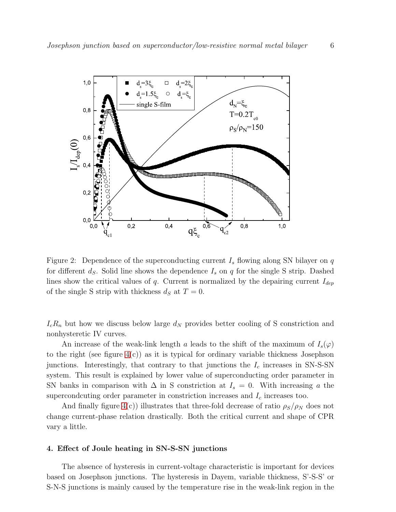<span id="page-5-0"></span>

Figure 2: Dependence of the superconducting current  $I_s$  flowing along SN bilayer on q for different  $d_S$ . Solid line shows the dependence  $I_s$  on q for the single S strip. Dashed lines show the critical values of q. Current is normalized by the depairing current  $I_{dep}$ of the single S strip with thickness  $d_S$  at  $T = 0$ .

 $I_cR_n$  but how we discuss below large  $d_N$  provides better cooling of S constriction and nonhysteretic IV curves.

An increase of the weak-link length a leads to the shift of the maximum of  $I_s(\varphi)$ to the right (see figure  $4(c)$ ) as it is typical for ordinary variable thickness Josephson junctions. Interestingly, that contrary to that junctions the  $I_c$  increases in SN-S-SN system. This result is explained by lower value of superconducting order parameter in SN banks in comparison with  $\Delta$  in S constriction at  $I_s = 0$ . With increasing a the supercondcuting order parameter in constriction increases and  $I_c$  increases too.

And finally figure [4\(](#page-7-0)c)) illustrates that three-fold decrease of ratio  $\rho_S/\rho_N$  does not change current-phase relation drastically. Both the critical current and shape of CPR vary a little.

#### 4. Effect of Joule heating in SN-S-SN junctions

The absence of hysteresis in current-voltage characteristic is important for devices based on Josephson junctions. The hysteresis in Dayem, variable thickness, S'-S-S' or S-N-S junctions is mainly caused by the temperature rise in the weak-link region in the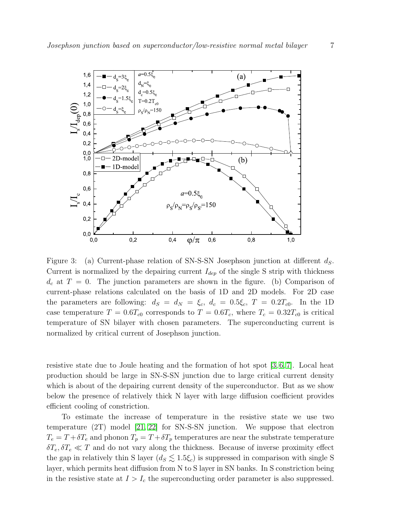<span id="page-6-0"></span>

Figure 3: (a) Current-phase relation of SN-S-SN Josephson junction at different  $d_S$ . Current is normalized by the depairing current  $I_{dep}$  of the single S strip with thickness  $d_c$  at  $T = 0$ . The junction parameters are shown in the figure. (b) Comparison of current-phase relations calculated on the basis of 1D and 2D models. For 2D case the parameters are following:  $d_S = d_N = \xi_c$ ,  $d_c = 0.5\xi_c$ ,  $T = 0.2T_{c0}$ . In the 1D case temperature  $T = 0.6T_{c0}$  corresponds to  $T = 0.6T_c$ , where  $T_c = 0.32T_{c0}$  is critical temperature of SN bilayer with chosen parameters. The superconducting current is normalized by critical current of Josephson junction.

resistive state due to Joule heating and the formation of hot spot  $[3, 6, 7]$  $[3, 6, 7]$  $[3, 6, 7]$ . Local heat production should be large in SN-S-SN junction due to large critical current density which is about of the depairing current density of the superconductor. But as we show below the presence of relatively thick N layer with large diffusion coefficient provides efficient cooling of constriction.

To estimate the increase of temperature in the resistive state we use two temperature (2T) model [\[21,](#page-10-20) [22\]](#page-10-21) for SN-S-SN junction. We suppose that electron  $T_e = T + \delta T_e$  and phonon  $T_p = T + \delta T_p$  temperatures are near the substrate temperature  $\delta T_e, \delta T_e \ll T$  and do not vary along the thickness. Because of inverse proximity effect the gap in relatively thin S layer  $(d_S \lesssim 1.5\xi_c)$  is suppressed in comparison with single S layer, which permits heat diffusion from N to S layer in SN banks. In S constriction being in the resistive state at  $I > I_c$  the superconducting order parameter is also suppressed.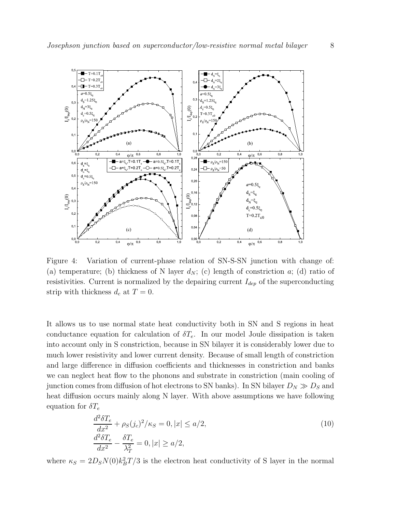<span id="page-7-0"></span>

Figure 4: Variation of current-phase relation of SN-S-SN junction with change of: (a) temperature; (b) thickness of N layer  $d_N$ ; (c) length of constriction a; (d) ratio of resistivities. Current is normalized by the depairing current  $I_{dep}$  of the superconducting strip with thickness  $d_c$  at  $T = 0$ .

It allows us to use normal state heat conductivity both in SN and S regions in heat conductance equation for calculation of  $\delta T_e$ . In our model Joule dissipation is taken into account only in S constriction, because in SN bilayer it is considerably lower due to much lower resistivity and lower current density. Because of small length of constriction and large difference in diffusion coefficients and thicknesses in constriction and banks we can neglect heat flow to the phonons and substrate in constriction (main cooling of junction comes from diffusion of hot electrons to SN banks). In SN bilayer  $D_N \gg D_S$  and heat diffusion occurs mainly along N layer. With above assumptions we have following equation for  $\delta T_e$ 

$$
\frac{d^2 \delta T_e}{dx^2} + \rho_S(j_c)^2 / \kappa_S = 0, |x| \le a/2,
$$
  
\n
$$
\frac{d^2 \delta T_e}{dx^2} - \frac{\delta T_e}{\lambda_T^2} = 0, |x| \ge a/2,
$$
\n(10)

where  $\kappa_S = 2D_S N(0) k_B^2 T/3$  is the electron heat conductivity of S layer in the normal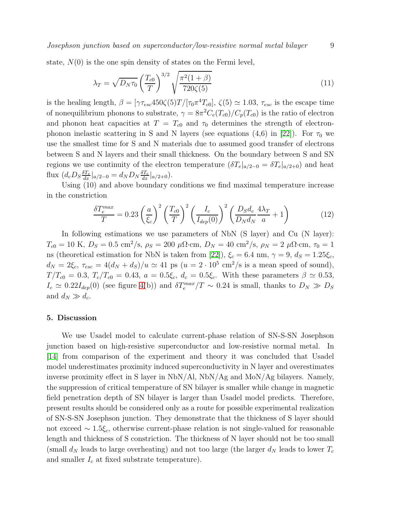Josephson junction based on superconductor/low-resistive normal metal bilayer 9

state,  $N(0)$  is the one spin density of states on the Fermi level,

$$
\lambda_T = \sqrt{D_N \tau_0} \left(\frac{T_{c0}}{T}\right)^{3/2} \sqrt{\frac{\pi^2 (1+\beta)}{720 \zeta(5)}}\tag{11}
$$

is the healing length,  $\beta = [\gamma \tau_{esc} 450 \zeta(5) T/[\tau_0 \pi^4 T_{c0}], \zeta(5) \simeq 1.03, \tau_{esc}$  is the escape time of nonequilibrium phonons to substrate,  $\gamma = 8\pi^2 C_e(T_{c0})/C_p(T_{c0})$  is the ratio of electron and phonon heat capacities at  $T = T_{c0}$  and  $\tau_0$  determines the strength of electronphonon inelastic scattering in S and N layers (see equations  $(4,6)$  in [\[22\]](#page-10-21)). For  $\tau_0$  we use the smallest time for S and N materials due to assumed good transfer of electrons between S and N layers and their small thickness. On the boundary between S and SN regions we use continuity of the electron temperature  $(\delta T_e|_{a/2-0} = \delta T_e|_{a/2+0})$  and heat flux  $(d_c D_S \frac{\delta T_e}{dx}|_{a/2-0} = d_N D_N \frac{\delta T_e}{dx}|_{a/2+0}).$ 

Using (10) and above boundary conditions we find maximal temperature increase in the constriction

$$
\frac{\delta T_e^{max}}{T} = 0.23 \left(\frac{a}{\xi_c}\right)^2 \left(\frac{T_{c0}}{T}\right)^2 \left(\frac{I_c}{I_{dep}(0)}\right)^2 \left(\frac{D_S d_c}{D_N d_N} \frac{4\lambda_T}{a} + 1\right)
$$
(12)

In following estimations we use parameters of NbN (S layer) and Cu (N layer):  $T_{c0} = 10 \text{ K}, D_S = 0.5 \text{ cm}^2/\text{s}, \rho_S = 200 \text{ }\mu\Omega\text{·cm}, D_N = 40 \text{ cm}^2/\text{s}, \rho_N = 2 \text{ }\mu\Omega\text{·cm}, \tau_0 = 1$ ns (theoretical estimation for NbN is taken from [\[22\]](#page-10-21)),  $\xi_c = 6.4$  nm,  $\gamma = 9$ ,  $d_S = 1.25\xi_c$ ,  $d_N = 2\xi_c$ ,  $\tau_{esc} = 4(d_N + d_S)/u \simeq 41$  ps  $(u = 2 \cdot 10^5 \text{ cm}^2/\text{s}$  is a mean speed of sound),  $T/T_{c0} = 0.3$ ,  $T_c/T_{c0} = 0.43$ ,  $a = 0.5\xi_c$ ,  $d_c = 0.5\xi_c$ . With these parameters  $\beta \simeq 0.53$ ,  $I_c \simeq 0.22 I_{dep}(0)$  (see figure [4\(](#page-7-0)b)) and  $\delta T_e^{max}/T \sim 0.24$  is small, thanks to  $D_N \gg D_S$ and  $d_N \gg d_c$ .

## 5. Discussion

We use Usadel model to calculate current-phase relation of SN-S-SN Josephson junction based on high-resistive superconductor and low-resistive normal metal. In [\[14\]](#page-10-12) from comparison of the experiment and theory it was concluded that Usadel model underestimates proximity induced superconductivity in N layer and overestimates inverse proximity effect in S layer in NbN/Al, NbN/Ag and MoN/Ag bilayers. Namely, the suppression of critical temperature of SN bilayer is smaller while change in magnetic field penetration depth of SN bilayer is larger than Usadel model predicts. Therefore, present results should be considered only as a route for possible experimental realization of SN-S-SN Josephson junction. They demonstrate that the thickness of S layer should not exceed  $\sim 1.5\xi_c$ , otherwise current-phase relation is not single-valued for reasonable length and thickness of S constriction. The thickness of N layer should not be too small (small  $d_N$  leads to large overheating) and not too large (the larger  $d_N$  leads to lower  $T_c$ and smaller  $I_c$  at fixed substrate temperature).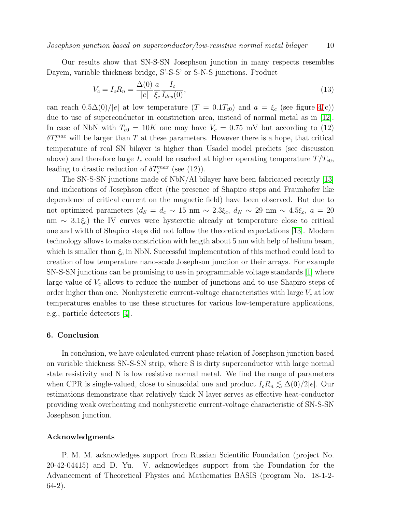Our results show that SN-S-SN Josephson junction in many respects resembles Dayem, variable thickness bridge, S'-S-S' or S-N-S junctions. Product

$$
V_c = I_c R_n = \frac{\Delta(0)}{|e|} \frac{a}{\xi_c} \frac{I_c}{I_{dep}(0)},
$$
\n(13)

can reach  $0.5\Delta(0)/|e|$  at low temperature  $(T = 0.1T_{c0})$  and  $a = \xi_c$  (see figure [4\(](#page-7-0)c)) due to use of superconductor in constriction area, instead of normal metal as in [\[12\]](#page-10-10). In case of NbN with  $T_{c0} = 10K$  one may have  $V_c = 0.75$  mV but according to (12)  $\delta T_e^{max}$  will be larger than T at these parameters. However there is a hope, that critical temperature of real SN bilayer is higher than Usadel model predicts (see discussion above) and therefore large  $I_c$  could be reached at higher operating temperature  $T/T_{c0}$ , leading to drastic reduction of  $\delta T_e^{max}$  (see (12)).

The SN-S-SN junctions made of NbN/Al bilayer have been fabricated recently [\[13\]](#page-10-11) and indications of Josephson effect (the presence of Shapiro steps and Fraunhofer like dependence of critical current on the magnetic field) have been observed. But due to not optimized parameters  $(d_S = d_c \sim 15 \text{ nm} \sim 2.3 \xi_c, d_N \sim 29 \text{ nm} \sim 4.5 \xi_c, a = 20$ nm  $\sim$  3.1 $\xi_c$ ) the IV curves were hysteretic already at temperature close to critical one and width of Shapiro steps did not follow the theoretical expectations [\[13\]](#page-10-11). Modern technology allows to make constriction with length about 5 nm with help of helium beam, which is smaller than  $\xi_c$  in NbN. Successful implementation of this method could lead to creation of low temperature nano-scale Josephson junction or their arrays. For example SN-S-SN junctions can be promising to use in programmable voltage standards [\[1\]](#page-10-0) where large value of  $V_c$  allows to reduce the number of junctions and to use Shapiro steps of order higher than one. Nonhysteretic current-voltage characteristics with large  $V_c$  at low temperatures enables to use these structures for various low-temperature applications, e.g., particle detectors [\[4\]](#page-10-3).

## 6. Conclusion

In conclusion, we have calculated current phase relation of Josephson junction based on variable thickness SN-S-SN strip, where S is dirty superconductor with large normal state resistivity and N is low resistive normal metal. We find the range of parameters when CPR is single-valued, close to sinusoidal one and product  $I_cR_n \leq \Delta(0)/2|e|$ . Our estimations demonstrate that relatively thick N layer serves as effective heat-conductor providing weak overheating and nonhysteretic current-voltage characteristic of SN-S-SN Josephson junction.

## Acknowledgments

P. M. M. acknowledges support from Russian Scientific Foundation (project No. 20-42-04415) and D. Yu. V. acknowledges support from the Foundation for the Advancement of Theoretical Physics and Mathematics BASIS (program No. 18-1-2- 64-2).